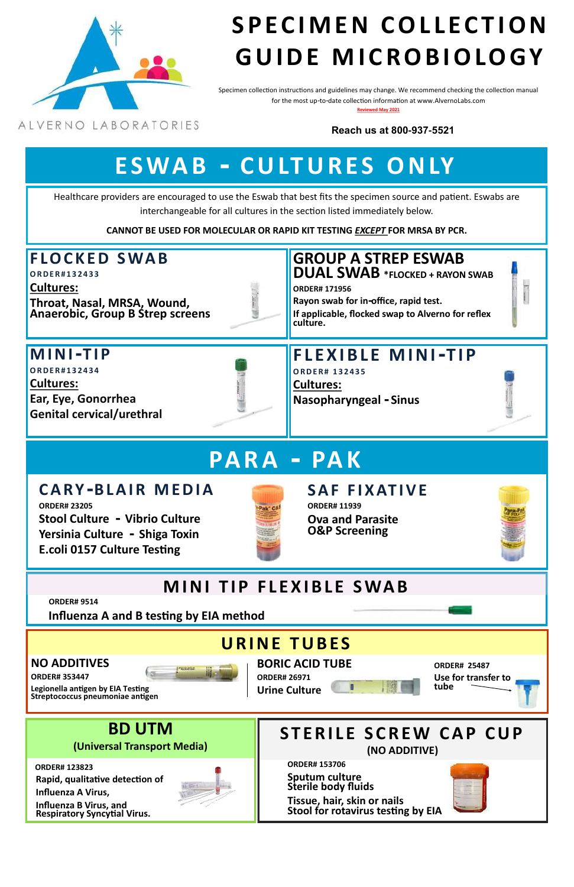## **NO ADDITIVES**

**ORDER# 353447**



**Legionella antigen by EIA Testing Streptococcus pneumoniae antigen**  Specimen collection instructions and guidelines may change. We recommend checking the collection manual for the most up-to-date collection information at www.AlvernoLabs.com **Reviewed May 2021**

ALVERNO LABORATORIES



# S P E C I M E N COLLECTION **G U I D E M I C R O B I O L O G Y**

# **F L O C K E D S WA B**

**O R D E R # 1 3 2 4 3 3**

**Cultures:** 

**Throat, Nasal, MRSA, Wound, Anaerobic, Group B Strep screens**



# **F L E X I B L E M I N I- T I P**

**O R D E R # 1 3 2 4 3 5 Cultures: Nasopharyngeal - Sinus**



# **M I N I- T I P**

**O R D E R # 1 3 2 4 3 4 Cultures: Ear, Eye, Gonorrhea Genital cervical/urethral** 



Healthcare providers are encouraged to use the Eswab that best fits the specimen source and patient. Eswabs are



interchangeable for all cultures in the section listed immediately below.

**CANNOT BE USED FOR MOLECULAR OR RAPID KIT TESTING** *EXCEPT* **FOR MRSA BY PCR.**

# **E S WA B - C U LT U R E S O N LY**

# **PA R A - PA K**

# **C A R Y -B L A I R M E D I A**

**ORDER# 23205 Stool Culture - Vibrio Culture Yersinia Culture - Shiga Toxin E.coli 0157 Culture Testing**



# **S A F F I X AT I V E ORDER# 11939**

**Ova and Parasite O&P Screening**



# **MINI TIP FLEXIBLE SWAB**

**BORIC ACID TUBE**

**ORDER# 26971 Urine Culture** 



**Influenza A and B testing by EIA method**

# **URINE TUBES**

**Reach us at 800-937-5521**

**GROUP A STREP ESWAB DUAL SWAB \*FLOCKED + RAYON SWAB**

**ORDER# 171956 Rayon swab for in-office, rapid test. If applicable, flocked swap to Alverno for reflex culture.** 

> **ORDER# 25487 Use for transfer to tube**

**ORDER# 9514**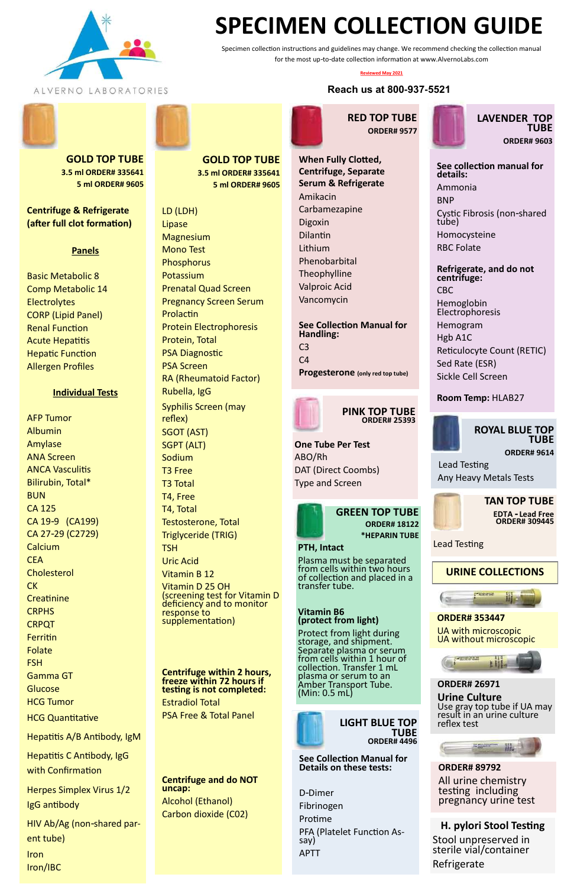**TAN TOP TUBE EDTA - Lead Free ORDER# 309445**

Lead Testing



**ORDER# 9614** Lead Testing

Any Heavy Metals Tests



 **PINK TOP TUBE ORDER# 25393**

**One Tube Per Test** ABO/Rh DAT (Direct Coombs) Type and Screen





Hemoglobin **Electrophoresis** 

**See Collection Manual for Details on these tests:**

D-Dimer Fibrinogen Protime PFA (Platelet Function Assay) APTT



**LAVENDER TOP TUBE ORDER# 9603**

## **See collection manual for details:** Ammonia

BNP Cystic Fibrosis (non-shared tube) Homocysteine

RBC Folate

## **Refrigerate, and do not centrifuge:** CBC

Hemogram

Hgb A1C Reticulocyte Count (RETIC) Sed Rate (ESR) Sickle Cell Screen

## **Room Temp:** HLAB27

**GREEN TOP TUBE ORDER# 18122 \*HEPARIN TUBE**

### **PTH, Intact**

Plasma must be separated from cells within two hours of collection and placed in a transfer tube.

#### **Vitamin B6 (protect from light)**

Protect from light during storage, and shipment. e plasma or serun from cells within 1 hour of collection. Transfer 1 mL plasma or serum to an Amber Transport Tube. (Min: 0.5 mL)



**GOLD TOP TUBE 3.5 ml ORDER# 335641 5 ml ORDER# 9605**

**Centrifuge & Refrigerate (after full clot formation)**

## **Panels**

Basic Metabolic 8 Comp Metabolic 14 **Electrolytes** CORP (Lipid Panel) Renal Function Acute Hepatitis Hepatic Function Allergen Profiles

#### **Individual Tests**

AFP Tumor Albumin Amylase ANA Screen ANCA Vasculitis Bilirubin, Total\* BUN CA 125 CA 19-9 (CA199) CA 27-29 (C2729) Calcium **CEA Cholesterol CK Creatinine CRPHS CRPQT** Ferritin Folate FSH Gamma GT **Glucose** HCG Tumor

HCG Quantitative

Hepatitis A/B Antibody, IgM

Hepatitis C Antibody, IgG with Confirmation

Herpes Simplex Virus 1/2 IgG antibody

HIV Ab/Ag (non-shared parent tube)

Iron Iron/IBC **RED TOP TUBE ORDER# 9577**



**See Collection Manual for Handling:** C3  $C<sub>4</sub>$ **Progesterone (only red top tube)**



**ORDER# 353447**

UA with microscopic UA without microscopic

#### **ORDER# 26971**

**Urine Culture** Use gray top tube if UA may result in an urine culture reflex test



**ORDER# 89792** All urine chemistry testing including pregnancy urine test

### **GOLD TOP TUBE 3.5 ml ORDER# 335641 5 ml ORDER# 9605**

LD (LDH) Lipase **Magnesium** Mono Test **Phosphorus** Potassium Prenatal Quad Screen Pregnancy Screen Serum Prolactin Protein Electrophoresis Protein, Total PSA Diagnostic PSA Screen RA (Rheumatoid Factor) Rubella, IgG Syphilis Screen (may reflex) SGOT (AST) SGPT (ALT) Sodium T3 Free T3 Total T4, Free T4, Total Testosterone, Total Triglyceride (TRIG) **TSH** Uric Acid Vitamin B 12 Vitamin D 25 OH

(screening test for Vitamin D deficiency and to monitor response to supplementation)

**Centrifuge within 2 hours, freeze within 72 hours if testing is not completed:** Estradiol Total PSA Free & Total Panel

**Centrifuge and do NOT uncap:** Alcohol (Ethanol) Carbon dioxide (C02)



Specimen collection instructions and guidelines may change. We recommend checking the collection manual for the most up-to-date collection information at www.AlvernoLabs.com

#### **Reviewed May 2021**

## **Reach us at 800-937-5521**



# **SPECIMEN COLLECTION GUIDE**

**H. pylori Stool Testing** Stool unpreserved in sterile vial/container Refrigerate